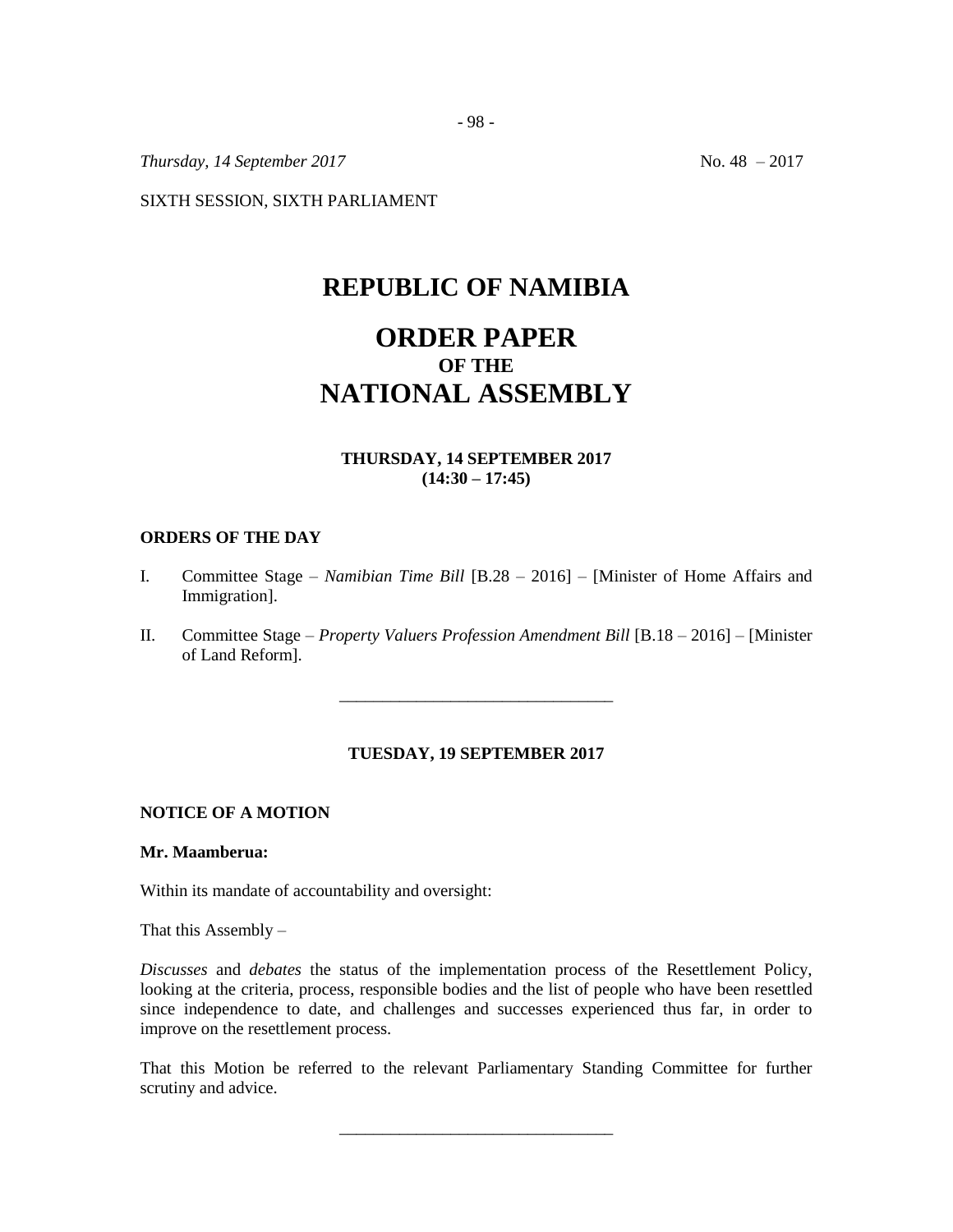*Thursday, 14 September 2017* No. 48 – 2017

SIXTH SESSION, SIXTH PARLIAMENT

## **REPUBLIC OF NAMIBIA**

# **ORDER PAPER OF THE NATIONAL ASSEMBLY**

## **THURSDAY, 14 SEPTEMBER 2017 (14:30 – 17:45)**

#### **ORDERS OF THE DAY**

- I. Committee Stage *– Namibian Time Bill* [B.28 2016] [Minister of Home Affairs and Immigration].
- II. Committee Stage *Property Valuers Profession Amendment Bill* [B.18 2016] [Minister of Land Reform].

\_\_\_\_\_\_\_\_\_\_\_\_\_\_\_\_\_\_\_\_\_\_\_\_\_\_\_\_\_\_\_\_

## **TUESDAY, 19 SEPTEMBER 2017**

## **NOTICE OF A MOTION**

## **Mr. Maamberua:**

Within its mandate of accountability and oversight:

That this Assembly  $-$ 

*Discusses* and *debates* the status of the implementation process of the Resettlement Policy, looking at the criteria, process, responsible bodies and the list of people who have been resettled since independence to date, and challenges and successes experienced thus far, in order to improve on the resettlement process.

That this Motion be referred to the relevant Parliamentary Standing Committee for further scrutiny and advice.

\_\_\_\_\_\_\_\_\_\_\_\_\_\_\_\_\_\_\_\_\_\_\_\_\_\_\_\_\_\_\_\_